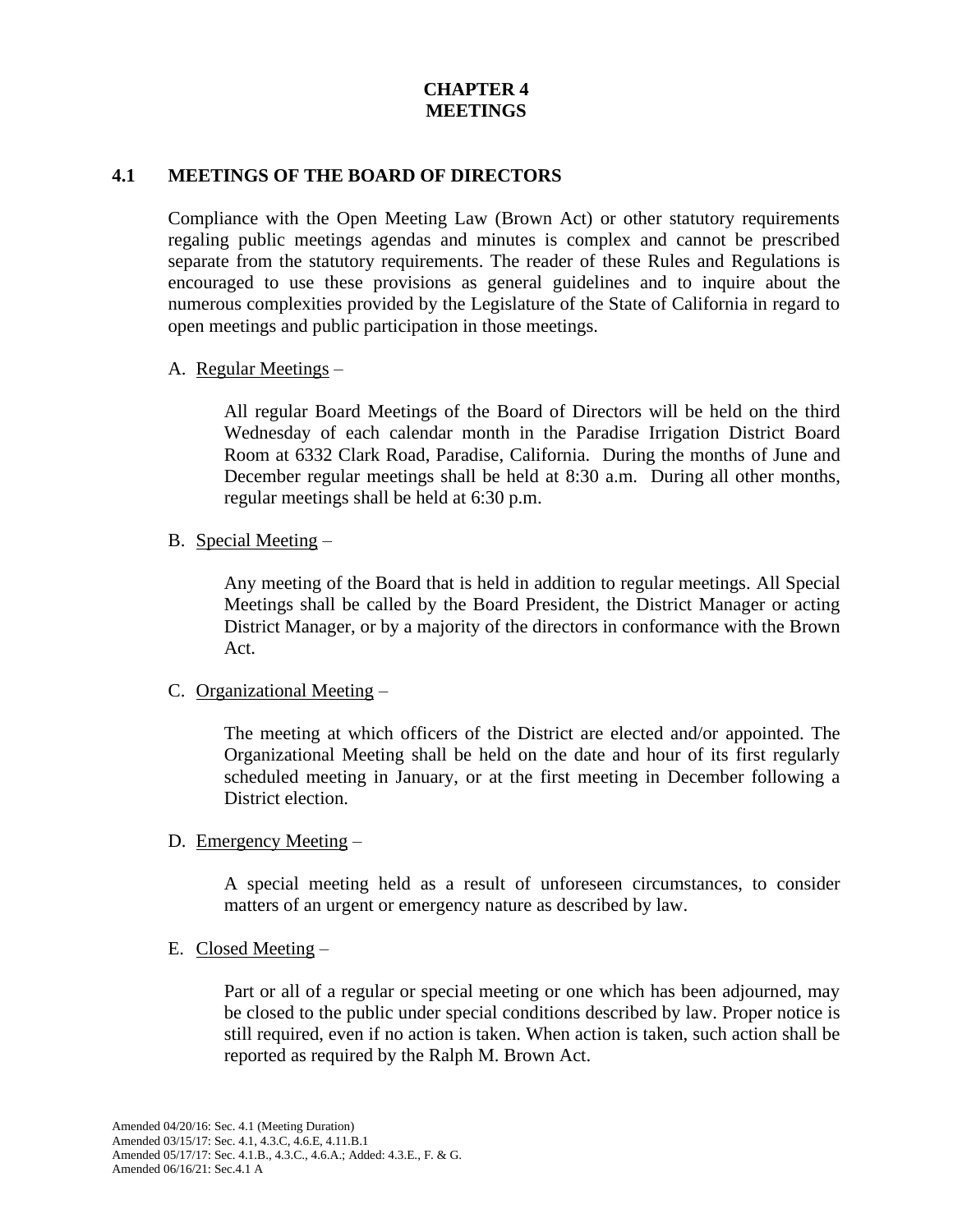# **CHAPTER 4 MEETINGS**

### **4.1 MEETINGS OF THE BOARD OF DIRECTORS**

Compliance with the Open Meeting Law (Brown Act) or other statutory requirements regaling public meetings agendas and minutes is complex and cannot be prescribed separate from the statutory requirements. The reader of these Rules and Regulations is encouraged to use these provisions as general guidelines and to inquire about the numerous complexities provided by the Legislature of the State of California in regard to open meetings and public participation in those meetings.

### A. Regular Meetings –

All regular Board Meetings of the Board of Directors will be held on the third Wednesday of each calendar month in the Paradise Irrigation District Board Room at 6332 Clark Road, Paradise, California. During the months of June and December regular meetings shall be held at 8:30 a.m. During all other months, regular meetings shall be held at 6:30 p.m.

B. Special Meeting –

Any meeting of the Board that is held in addition to regular meetings. All Special Meetings shall be called by the Board President, the District Manager or acting District Manager, or by a majority of the directors in conformance with the Brown Act.

# C. Organizational Meeting –

The meeting at which officers of the District are elected and/or appointed. The Organizational Meeting shall be held on the date and hour of its first regularly scheduled meeting in January, or at the first meeting in December following a District election.

### D. Emergency Meeting –

A special meeting held as a result of unforeseen circumstances, to consider matters of an urgent or emergency nature as described by law.

### E. Closed Meeting –

Part or all of a regular or special meeting or one which has been adjourned, may be closed to the public under special conditions described by law. Proper notice is still required, even if no action is taken. When action is taken, such action shall be reported as required by the Ralph M. Brown Act.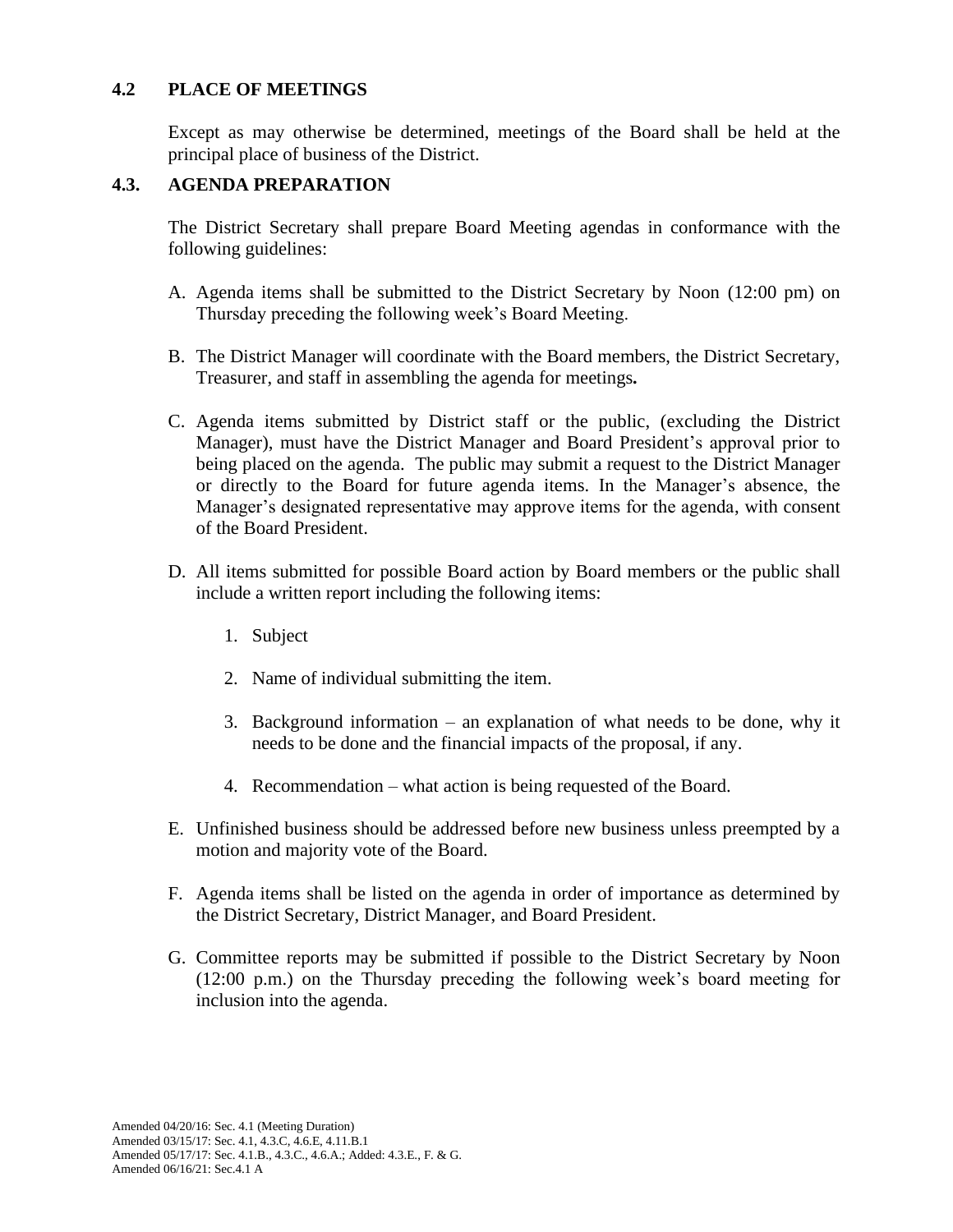### **4.2 PLACE OF MEETINGS**

Except as may otherwise be determined, meetings of the Board shall be held at the principal place of business of the District.

### **4.3. AGENDA PREPARATION**

The District Secretary shall prepare Board Meeting agendas in conformance with the following guidelines:

- A. Agenda items shall be submitted to the District Secretary by Noon (12:00 pm) on Thursday preceding the following week's Board Meeting.
- B. The District Manager will coordinate with the Board members, the District Secretary, Treasurer, and staff in assembling the agenda for meetings*.*
- C. Agenda items submitted by District staff or the public, (excluding the District Manager), must have the District Manager and Board President's approval prior to being placed on the agenda. The public may submit a request to the District Manager or directly to the Board for future agenda items. In the Manager's absence, the Manager's designated representative may approve items for the agenda, with consent of the Board President.
- D. All items submitted for possible Board action by Board members or the public shall include a written report including the following items:
	- 1. Subject
	- 2. Name of individual submitting the item.
	- 3. Background information an explanation of what needs to be done, why it needs to be done and the financial impacts of the proposal, if any.
	- 4. Recommendation what action is being requested of the Board.
- E. Unfinished business should be addressed before new business unless preempted by a motion and majority vote of the Board.
- F. Agenda items shall be listed on the agenda in order of importance as determined by the District Secretary, District Manager, and Board President.
- G. Committee reports may be submitted if possible to the District Secretary by Noon (12:00 p.m.) on the Thursday preceding the following week's board meeting for inclusion into the agenda.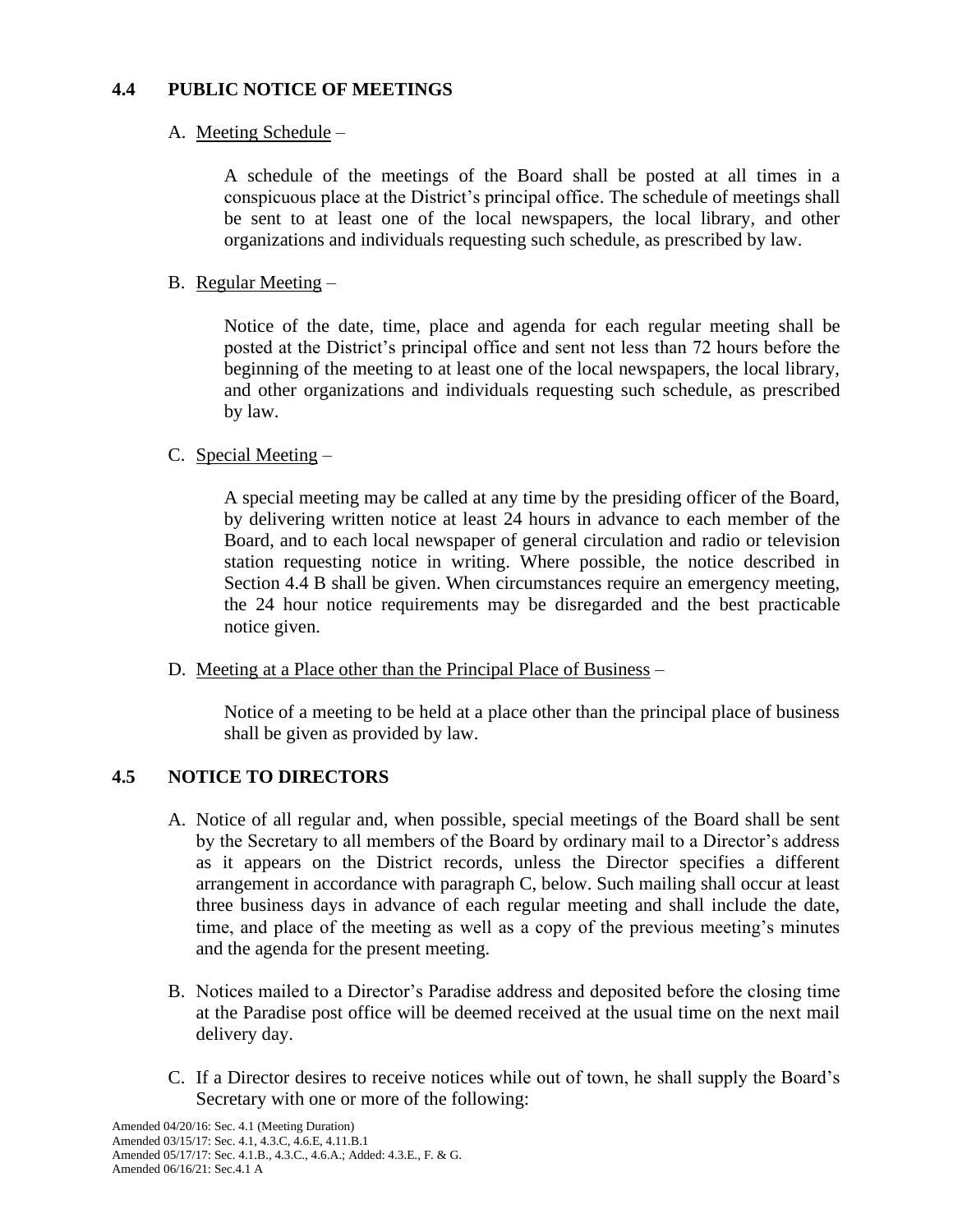# **4.4 PUBLIC NOTICE OF MEETINGS**

### A. Meeting Schedule –

A schedule of the meetings of the Board shall be posted at all times in a conspicuous place at the District's principal office. The schedule of meetings shall be sent to at least one of the local newspapers, the local library, and other organizations and individuals requesting such schedule, as prescribed by law.

## B. Regular Meeting –

Notice of the date, time, place and agenda for each regular meeting shall be posted at the District's principal office and sent not less than 72 hours before the beginning of the meeting to at least one of the local newspapers, the local library, and other organizations and individuals requesting such schedule, as prescribed by law.

# C. Special Meeting –

A special meeting may be called at any time by the presiding officer of the Board, by delivering written notice at least 24 hours in advance to each member of the Board, and to each local newspaper of general circulation and radio or television station requesting notice in writing. Where possible, the notice described in Section 4.4 B shall be given. When circumstances require an emergency meeting, the 24 hour notice requirements may be disregarded and the best practicable notice given.

### D. Meeting at a Place other than the Principal Place of Business –

Notice of a meeting to be held at a place other than the principal place of business shall be given as provided by law.

# **4.5 NOTICE TO DIRECTORS**

- A. Notice of all regular and, when possible, special meetings of the Board shall be sent by the Secretary to all members of the Board by ordinary mail to a Director's address as it appears on the District records, unless the Director specifies a different arrangement in accordance with paragraph C, below. Such mailing shall occur at least three business days in advance of each regular meeting and shall include the date, time, and place of the meeting as well as a copy of the previous meeting's minutes and the agenda for the present meeting.
- B. Notices mailed to a Director's Paradise address and deposited before the closing time at the Paradise post office will be deemed received at the usual time on the next mail delivery day.
- C. If a Director desires to receive notices while out of town, he shall supply the Board's Secretary with one or more of the following: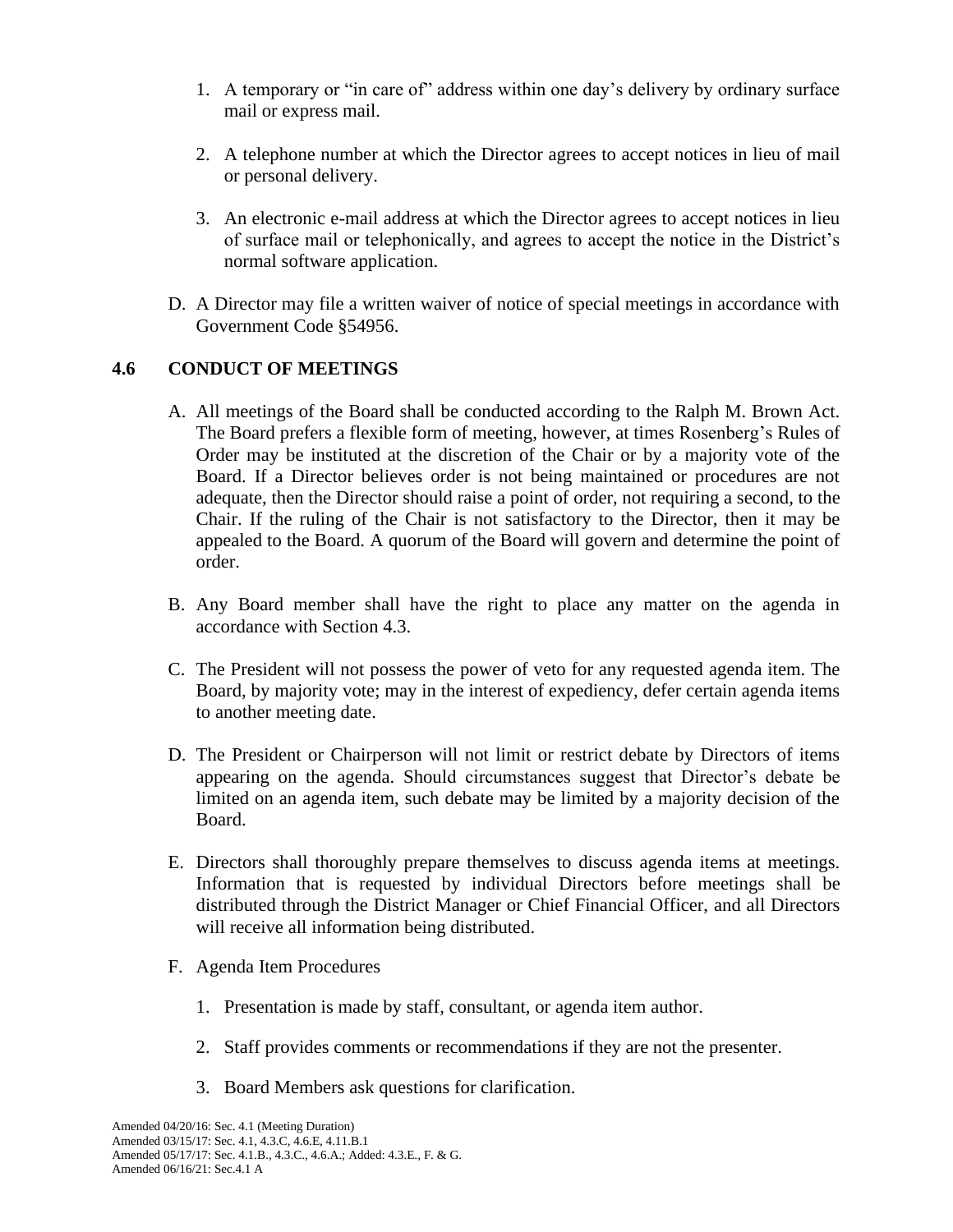- 1. A temporary or "in care of" address within one day's delivery by ordinary surface mail or express mail.
- 2. A telephone number at which the Director agrees to accept notices in lieu of mail or personal delivery.
- 3. An electronic e-mail address at which the Director agrees to accept notices in lieu of surface mail or telephonically, and agrees to accept the notice in the District's normal software application.
- D. A Director may file a written waiver of notice of special meetings in accordance with Government Code §54956.

# **4.6 CONDUCT OF MEETINGS**

- A. All meetings of the Board shall be conducted according to the Ralph M. Brown Act. The Board prefers a flexible form of meeting, however, at times Rosenberg's Rules of Order may be instituted at the discretion of the Chair or by a majority vote of the Board. If a Director believes order is not being maintained or procedures are not adequate, then the Director should raise a point of order, not requiring a second, to the Chair. If the ruling of the Chair is not satisfactory to the Director, then it may be appealed to the Board. A quorum of the Board will govern and determine the point of order.
- B. Any Board member shall have the right to place any matter on the agenda in accordance with Section 4.3.
- C. The President will not possess the power of veto for any requested agenda item. The Board, by majority vote; may in the interest of expediency, defer certain agenda items to another meeting date.
- D. The President or Chairperson will not limit or restrict debate by Directors of items appearing on the agenda. Should circumstances suggest that Director's debate be limited on an agenda item, such debate may be limited by a majority decision of the Board.
- E. Directors shall thoroughly prepare themselves to discuss agenda items at meetings. Information that is requested by individual Directors before meetings shall be distributed through the District Manager or Chief Financial Officer, and all Directors will receive all information being distributed.
- F. Agenda Item Procedures
	- 1. Presentation is made by staff, consultant, or agenda item author.
	- 2. Staff provides comments or recommendations if they are not the presenter.
	- 3. Board Members ask questions for clarification.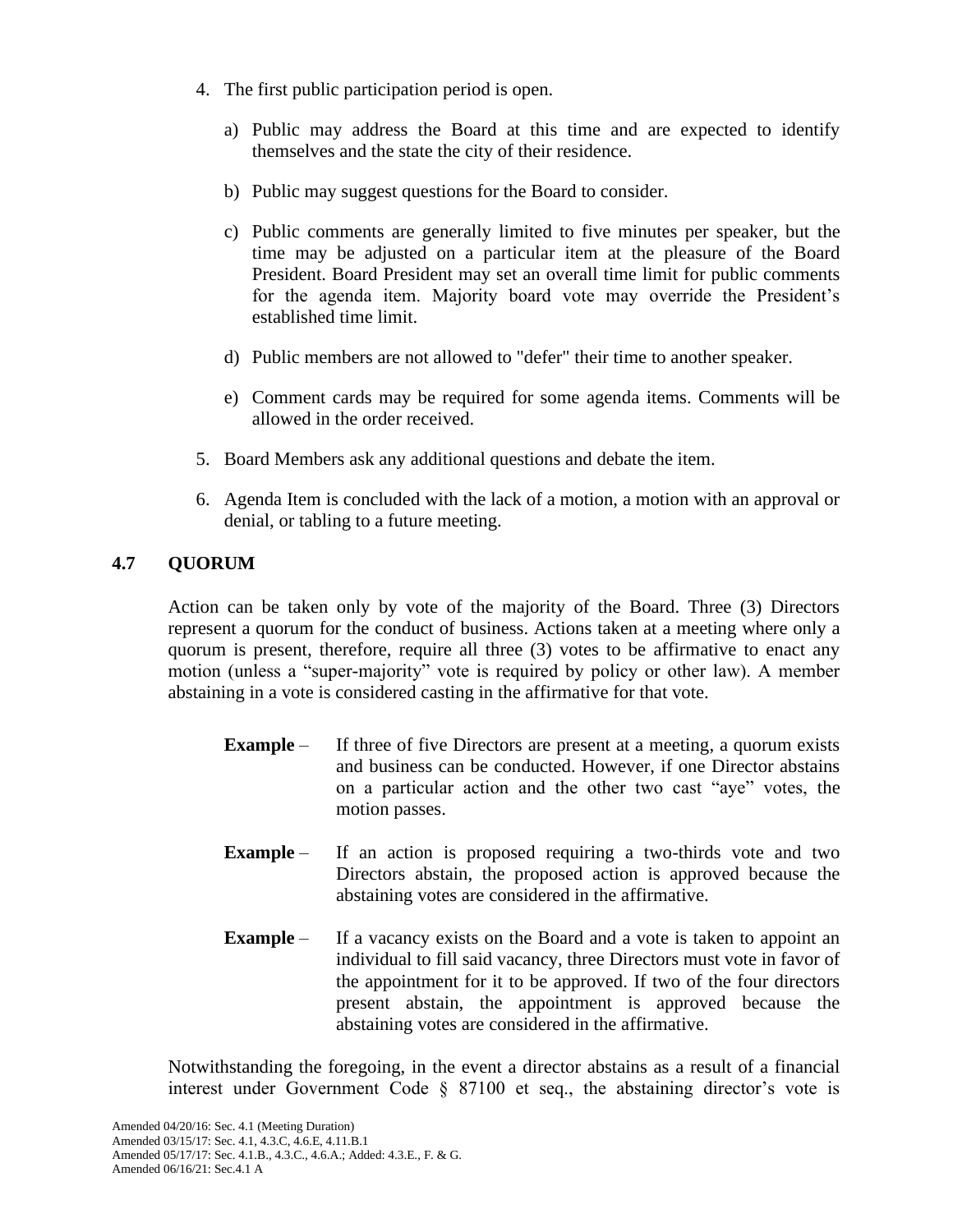- 4. The first public participation period is open.
	- a) Public may address the Board at this time and are expected to identify themselves and the state the city of their residence.
	- b) Public may suggest questions for the Board to consider.
	- c) Public comments are generally limited to five minutes per speaker, but the time may be adjusted on a particular item at the pleasure of the Board President. Board President may set an overall time limit for public comments for the agenda item. Majority board vote may override the President's established time limit.
	- d) Public members are not allowed to "defer" their time to another speaker.
	- e) Comment cards may be required for some agenda items. Comments will be allowed in the order received.
- 5. Board Members ask any additional questions and debate the item.
- 6. Agenda Item is concluded with the lack of a motion, a motion with an approval or denial, or tabling to a future meeting.

# **4.7 QUORUM**

Action can be taken only by vote of the majority of the Board. Three (3) Directors represent a quorum for the conduct of business. Actions taken at a meeting where only a quorum is present, therefore, require all three (3) votes to be affirmative to enact any motion (unless a "super-majority" vote is required by policy or other law). A member abstaining in a vote is considered casting in the affirmative for that vote.

- **Example** If three of five Directors are present at a meeting, a quorum exists and business can be conducted. However, if one Director abstains on a particular action and the other two cast "aye" votes, the motion passes.
- **Example** If an action is proposed requiring a two-thirds vote and two Directors abstain, the proposed action is approved because the abstaining votes are considered in the affirmative.
- **Example** If a vacancy exists on the Board and a vote is taken to appoint an individual to fill said vacancy, three Directors must vote in favor of the appointment for it to be approved. If two of the four directors present abstain, the appointment is approved because the abstaining votes are considered in the affirmative.

Notwithstanding the foregoing, in the event a director abstains as a result of a financial interest under Government Code § 87100 et seq., the abstaining director's vote is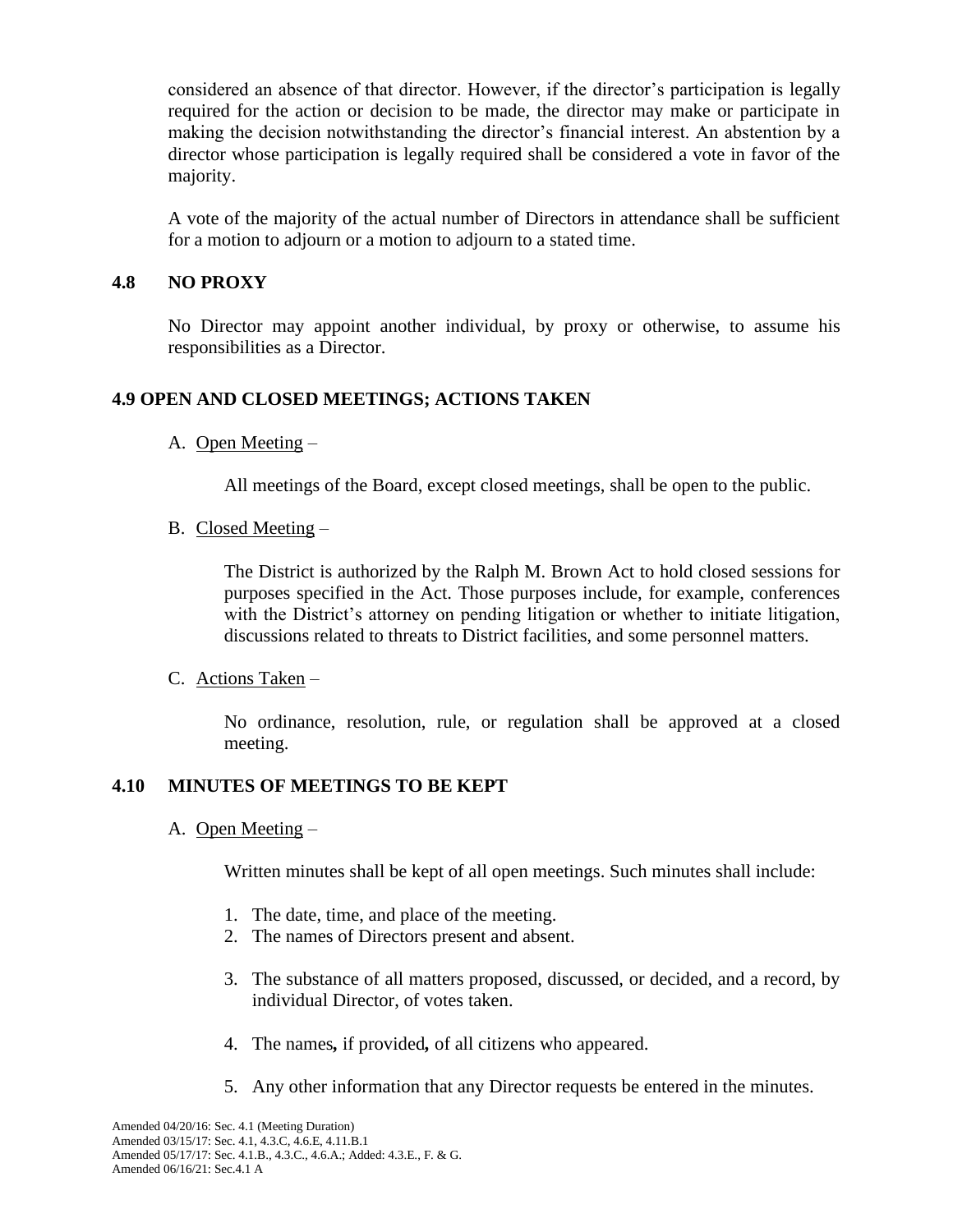considered an absence of that director. However, if the director's participation is legally required for the action or decision to be made, the director may make or participate in making the decision notwithstanding the director's financial interest. An abstention by a director whose participation is legally required shall be considered a vote in favor of the majority.

A vote of the majority of the actual number of Directors in attendance shall be sufficient for a motion to adjourn or a motion to adjourn to a stated time.

## **4.8 NO PROXY**

No Director may appoint another individual, by proxy or otherwise, to assume his responsibilities as a Director.

### **4.9 OPEN AND CLOSED MEETINGS; ACTIONS TAKEN**

### A. Open Meeting –

All meetings of the Board, except closed meetings, shall be open to the public.

### B. Closed Meeting –

The District is authorized by the Ralph M. Brown Act to hold closed sessions for purposes specified in the Act. Those purposes include, for example, conferences with the District's attorney on pending litigation or whether to initiate litigation, discussions related to threats to District facilities, and some personnel matters.

### C. Actions Taken –

No ordinance, resolution, rule, or regulation shall be approved at a closed meeting.

### **4.10 MINUTES OF MEETINGS TO BE KEPT**

#### A. Open Meeting –

Written minutes shall be kept of all open meetings. Such minutes shall include:

- 1. The date, time, and place of the meeting.
- 2. The names of Directors present and absent.
- 3. The substance of all matters proposed, discussed, or decided, and a record, by individual Director, of votes taken.
- 4. The names*,* if provided*,* of all citizens who appeared.
- 5. Any other information that any Director requests be entered in the minutes.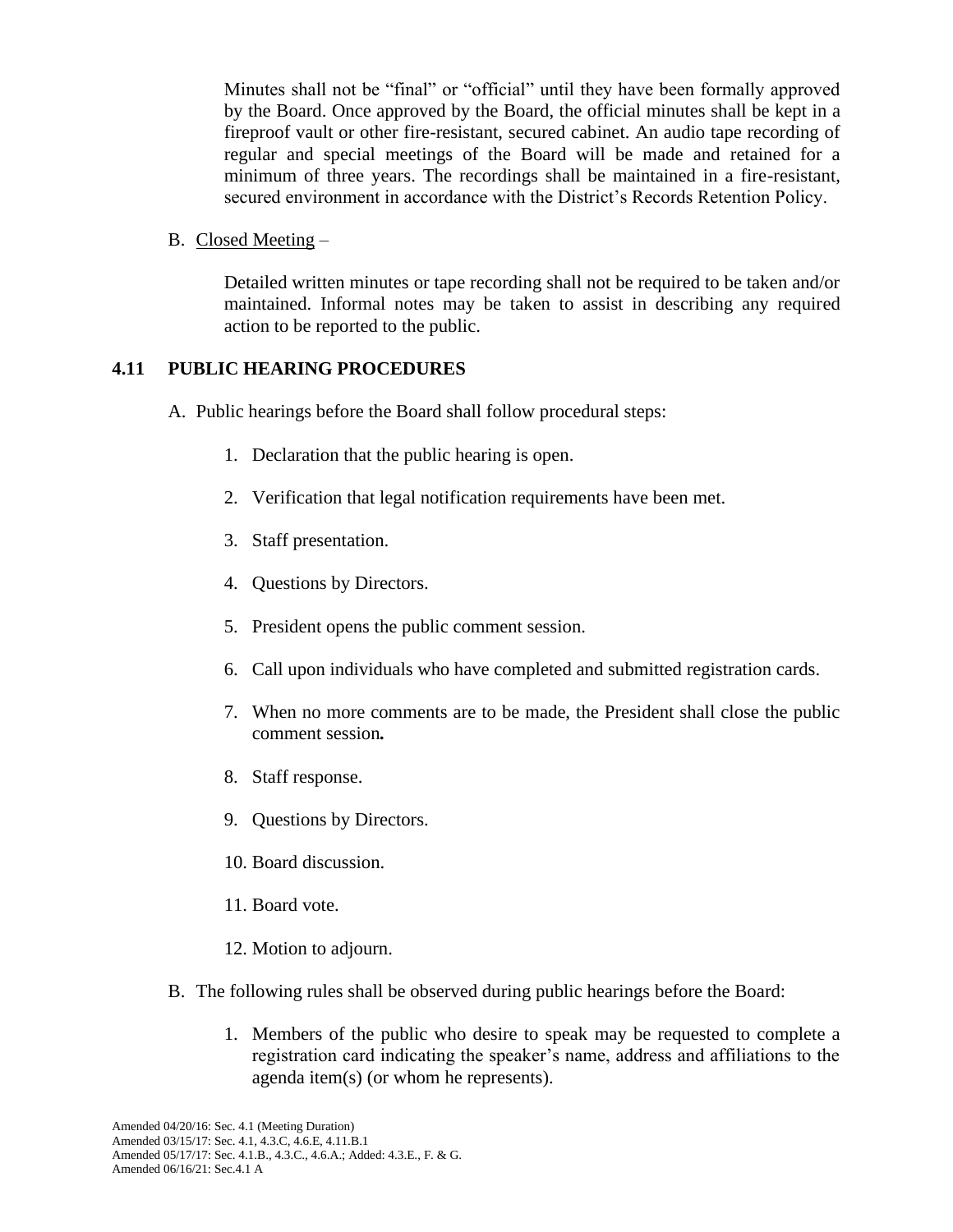Minutes shall not be "final" or "official" until they have been formally approved by the Board. Once approved by the Board, the official minutes shall be kept in a fireproof vault or other fire-resistant, secured cabinet. An audio tape recording of regular and special meetings of the Board will be made and retained for a minimum of three years. The recordings shall be maintained in a fire-resistant, secured environment in accordance with the District's Records Retention Policy.

B. Closed Meeting –

Detailed written minutes or tape recording shall not be required to be taken and/or maintained. Informal notes may be taken to assist in describing any required action to be reported to the public.

### **4.11 PUBLIC HEARING PROCEDURES**

- A. Public hearings before the Board shall follow procedural steps:
	- 1. Declaration that the public hearing is open.
	- 2. Verification that legal notification requirements have been met.
	- 3. Staff presentation.
	- 4. Questions by Directors.
	- 5. President opens the public comment session.
	- 6. Call upon individuals who have completed and submitted registration cards.
	- 7. When no more comments are to be made, the President shall close the public comment session*.*
	- 8. Staff response.
	- 9. Questions by Directors.
	- 10. Board discussion.
	- 11. Board vote.
	- 12. Motion to adjourn.
- B. The following rules shall be observed during public hearings before the Board:
	- 1. Members of the public who desire to speak may be requested to complete a registration card indicating the speaker's name, address and affiliations to the agenda item(s) (or whom he represents).